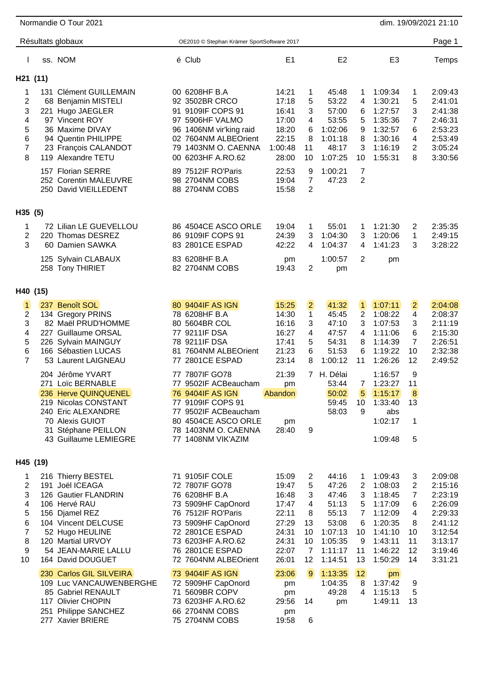|                                                                                 |                   | Normandie O Tour 2021                                                                                                                                                                                                |                                                                                                                                                                                |                                                                                            |                                                                                          |                                                           |                                                                                                |                                                   |                                                                                                            |                                                                 | dim. 19/09/2021 21:10                                                                                      |
|---------------------------------------------------------------------------------|-------------------|----------------------------------------------------------------------------------------------------------------------------------------------------------------------------------------------------------------------|--------------------------------------------------------------------------------------------------------------------------------------------------------------------------------|--------------------------------------------------------------------------------------------|------------------------------------------------------------------------------------------|-----------------------------------------------------------|------------------------------------------------------------------------------------------------|---------------------------------------------------|------------------------------------------------------------------------------------------------------------|-----------------------------------------------------------------|------------------------------------------------------------------------------------------------------------|
|                                                                                 |                   | Résultats globaux                                                                                                                                                                                                    |                                                                                                                                                                                | OE2010 © Stephan Krämer SportSoftware 2017                                                 |                                                                                          |                                                           |                                                                                                |                                                   |                                                                                                            |                                                                 | Page 1                                                                                                     |
|                                                                                 |                   | ss. NOM                                                                                                                                                                                                              | é Club                                                                                                                                                                         |                                                                                            | E <sub>1</sub>                                                                           |                                                           | E <sub>2</sub>                                                                                 |                                                   | E <sub>3</sub>                                                                                             |                                                                 | Temps                                                                                                      |
|                                                                                 | H21 (11)          |                                                                                                                                                                                                                      |                                                                                                                                                                                |                                                                                            |                                                                                          |                                                           |                                                                                                |                                                   |                                                                                                            |                                                                 |                                                                                                            |
| 1<br>2<br>3<br>4<br>5<br>6<br>$\overline{7}$<br>8                               | 131<br>221<br>119 | <b>Clément GUILLEMAIN</b><br>68 Benjamin MISTELI<br>Hugo JAEGLER<br>97 Vincent ROY<br>36 Maxime DIVAY<br>94 Quentin PHILIPPE<br>23 François CALANDOT<br>Alexandre TETU<br>157 Florian SERRE<br>252 Corentin MALEUVRE | 00 6208HF B.A<br>92 3502BR CRCO<br>91 9109IF COPS 91<br>97 5906HF VALMO<br>00 6203HF A.RO.62<br>89 7512IF RO'Paris<br>98 2704NM COBS                                           | 96 1406NM vir'king raid<br>02 7604NM ALBEOrient<br>79 1403NM O. CAENNA                     | 14:21<br>17:18<br>16:41<br>17:00<br>18:20<br>22:15<br>1:00:48<br>28:00<br>22:53<br>19:04 | 1<br>5<br>3<br>4<br>6<br>8<br>11<br>10<br>9<br>7          | 45:48<br>53:22<br>57:00<br>53:55<br>1:02:06<br>1:01:18<br>48:17<br>1:07:25<br>1:00:21<br>47:23 | 1<br>4<br>6<br>5<br>9<br>8<br>3<br>10<br>7<br>2   | 1:09:34<br>1:30:21<br>1:27:57<br>1:35:36<br>1:32:57<br>1:30:16<br>1:16:19<br>1:55:31                       | 1<br>5<br>3<br>7<br>6<br>4<br>2<br>8                            | 2:09:43<br>2:41:01<br>2:41:38<br>2:46:31<br>2:53:23<br>2:53:49<br>3:05:24<br>3:30:56                       |
|                                                                                 |                   | 250 David VIEILLEDENT                                                                                                                                                                                                | 88 2704NM COBS                                                                                                                                                                 |                                                                                            | 15:58                                                                                    | 2                                                         |                                                                                                |                                                   |                                                                                                            |                                                                 |                                                                                                            |
| H35 (5)                                                                         |                   |                                                                                                                                                                                                                      |                                                                                                                                                                                |                                                                                            |                                                                                          |                                                           |                                                                                                |                                                   |                                                                                                            |                                                                 |                                                                                                            |
| 1<br>$\overline{2}$<br>3                                                        |                   | 72 Lilian LE GUEVELLOU<br>220 Thomas DESREZ<br>60 Damien SAWKA                                                                                                                                                       | 86 9109IF COPS 91<br>83 2801CE ESPAD                                                                                                                                           | 86 4504CE ASCO ORLE                                                                        | 19:04<br>24:39<br>42:22                                                                  | 1<br>3<br>4                                               | 55:01<br>1:04:30<br>1:04:37                                                                    | 1<br>3<br>4                                       | 1:21:30<br>1:20:06<br>1:41:23                                                                              | 2<br>1<br>3                                                     | 2:35:35<br>2:49:15<br>3:28:22                                                                              |
|                                                                                 |                   | 125 Sylvain CLABAUX<br>258 Tony THIRIET                                                                                                                                                                              | 83 6208HF B.A<br>82 2704NM COBS                                                                                                                                                |                                                                                            | pm<br>19:43                                                                              | 2                                                         | 1:00:57<br>pm                                                                                  | 2                                                 | pm                                                                                                         |                                                                 |                                                                                                            |
|                                                                                 | H40 (15)          |                                                                                                                                                                                                                      |                                                                                                                                                                                |                                                                                            |                                                                                          |                                                           |                                                                                                |                                                   |                                                                                                            |                                                                 |                                                                                                            |
| $\overline{\mathbf{1}}$<br>$\overline{2}$<br>3<br>4<br>5<br>6<br>$\overline{7}$ | 237               | <b>Benoît SOL</b><br>134 Gregory PRINS<br>82 Maël PRUD'HOMME<br>227 Guillaume ORSAL<br>226 Sylvain MAINGUY<br>166 Sébastien LUCAS<br>53 Laurent LAIGNEAU                                                             | 80 9404IF AS IGN<br>78 6208HF B.A<br>80 5604BR COL<br>77 9211IF DSA<br>78 9211IF DSA<br>81.<br>77 2801CE ESPAD                                                                 | 7604NM ALBEOrient                                                                          | 15:25<br>14:30<br>16:16<br>16:27<br>17:41<br>21:23<br>23:14                              | $\overline{2}$<br>$\overline{1}$<br>3<br>4<br>5<br>6<br>8 | 41:32<br>45:45<br>47:10<br>47:57<br>54:31<br>51:53<br>1:00:12                                  | $\vert$ 1<br>2<br>3<br>4<br>8<br>6<br>11          | 1:07:11<br>1:08:22<br>1:07:53<br>1:11:06<br>1:14:39<br>1:19:22<br>1:26:26                                  | $\overline{2}$<br>4<br>3<br>6<br>7<br>10<br>12                  | 2:04:08<br>2:08:37<br>2:11:19<br>2:15:30<br>2:26:51<br>2:32:38<br>2:49:52                                  |
|                                                                                 |                   | 204 Jérôme YVART<br>271 Loïc BERNABLE<br>236 Herve QUINQUENEL<br>219 Nicolas CONSTANT<br>240 Eric ALEXANDRE<br>70 Alexis GUIOT<br>31 Stéphane PEILLON<br>43 Guillaume LEMIEGRE                                       | 77 7807IF GO78<br>76 9404IF AS IGN<br>77 9109IF COPS 91<br>77 1408NM VIK'AZIM                                                                                                  | 77 9502IF ACBeaucham<br>77 9502IF ACBeaucham<br>80 4504CE ASCO ORLE<br>78 1403NM O. CAENNA | 21:39<br>pm<br>Abandon<br>pm<br>28:40                                                    | 7<br>$9\,$                                                | H. Délai<br>53:44<br>50:02<br>59:45<br>58:03                                                   | 7<br>5<br>10<br>9                                 | 1:16:57<br>1:23:27<br>1:15:17<br>1:33:40<br>abs<br>1:02:17<br>1:09:48                                      | 9<br>11<br>8<br>13<br>1<br>5                                    |                                                                                                            |
|                                                                                 | H45 (19)          |                                                                                                                                                                                                                      |                                                                                                                                                                                |                                                                                            |                                                                                          |                                                           |                                                                                                |                                                   |                                                                                                            |                                                                 |                                                                                                            |
| 1<br>2<br>3<br>4<br>5<br>6<br>$\overline{7}$<br>8<br>9<br>10                    |                   | 216 Thierry BESTEL<br>191 Joël ICEAGA<br>126 Gautier FLANDRIN<br>106 Hervé RAU<br>156 Djamel REZ<br>104 Vincent DELCUSE<br>52 Hugo HEULINE<br>120 Martial URVOY<br>54 JEAN-MARIE LALLU<br>164 David DOUGUET          | 71 9105IF COLE<br>72 7807IF GO78<br>76 6208HF B.A<br>73 5909HF CapOnord<br>76 7512IF RO'Paris<br>73 5909HF CapOnord<br>72 2801CE ESPAD<br>73 6203HF A.RO.62<br>76 2801CE ESPAD | 72 7604NM ALBEOrient                                                                       | 15:09<br>19:47<br>16:48<br>17:47<br>22:11<br>27:29<br>24:31<br>24:31<br>22:07<br>26:01   | 2<br>5<br>3<br>4<br>8<br>13<br>10<br>10<br>7<br>12        | 44:16<br>47:26<br>47:46<br>51:13<br>55:13<br>53:08<br>1:07:13<br>1:05:35<br>1:11:17<br>1:14:51 | 1<br>2<br>3<br>5<br>7<br>6<br>10<br>9<br>11<br>13 | 1:09:43<br>1:08:03<br>1:18:45<br>1:17:09<br>1:12:09<br>1:20:35<br>1:41:10<br>1:43:11<br>1:46:22<br>1:50:29 | 3<br>$\overline{c}$<br>7<br>6<br>4<br>8<br>10<br>11<br>12<br>14 | 2:09:08<br>2:15:16<br>2:23:19<br>2:26:09<br>2:29:33<br>2:41:12<br>3:12:54<br>3:13:17<br>3:19:46<br>3:31:21 |
|                                                                                 | 251               | 230 Carlos GIL SILVEIRA<br>109 Luc VANCAUWENBERGHE<br>85 Gabriel RENAULT<br>117 Olivier CHOPIN<br>Philippe SANCHEZ<br>277 Xavier BRIERE                                                                              | 73 9404IF AS IGN<br>72 5909HF CapOnord<br>71 5609BR COPV<br>73 6203HF A.RO.62<br>66 2704NM COBS<br>75 2704NM COBS                                                              |                                                                                            | 23:06<br>pm<br>pm<br>29:56<br>pm<br>19:58                                                | 9<br>14<br>6                                              | 1:13:35<br>1:04:35<br>49:28<br>pm                                                              | 12<br>8<br>4                                      | pm<br>1:37:42<br>1:15:13<br>1:49:11                                                                        | 9<br>5<br>13                                                    |                                                                                                            |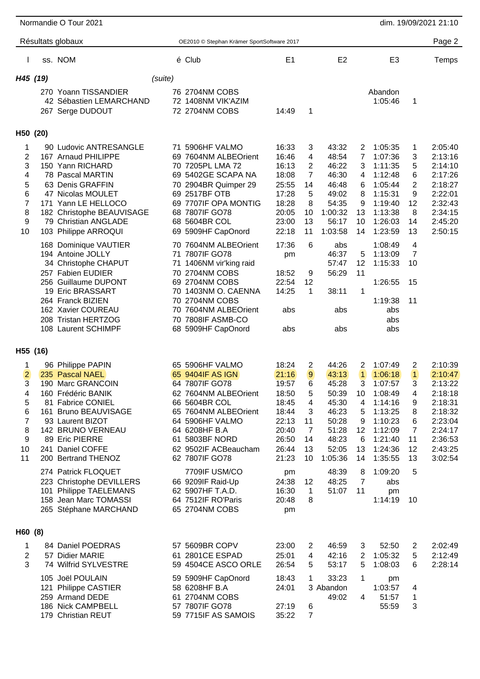|                                                                           | Normandie O Tour 2021                                                                                                                                                                                                              |         |                                                                                                                                                                                                                        |                                                                                                 |                                                                      |                                                                                                   |                                                                    |                                                                                                                       |                                                                   | dim. 19/09/2021 21:10                                                                                                 |
|---------------------------------------------------------------------------|------------------------------------------------------------------------------------------------------------------------------------------------------------------------------------------------------------------------------------|---------|------------------------------------------------------------------------------------------------------------------------------------------------------------------------------------------------------------------------|-------------------------------------------------------------------------------------------------|----------------------------------------------------------------------|---------------------------------------------------------------------------------------------------|--------------------------------------------------------------------|-----------------------------------------------------------------------------------------------------------------------|-------------------------------------------------------------------|-----------------------------------------------------------------------------------------------------------------------|
|                                                                           | Résultats globaux                                                                                                                                                                                                                  |         | OE2010 © Stephan Krämer SportSoftware 2017                                                                                                                                                                             |                                                                                                 |                                                                      |                                                                                                   |                                                                    |                                                                                                                       |                                                                   | Page 2                                                                                                                |
|                                                                           | ss. NOM                                                                                                                                                                                                                            |         | é Club                                                                                                                                                                                                                 | E <sub>1</sub>                                                                                  |                                                                      | E <sub>2</sub>                                                                                    |                                                                    | E <sub>3</sub>                                                                                                        |                                                                   | Temps                                                                                                                 |
| H45 (19)                                                                  | 270 Yoann TISSANDIER<br>42 Sébastien LEMARCHAND<br>267 Serge DUDOUT                                                                                                                                                                | (suite) | 76 2704NM COBS<br>72 1408NM VIK'AZIM<br>72 2704NM COBS                                                                                                                                                                 | 14:49                                                                                           | 1                                                                    |                                                                                                   |                                                                    | Abandon<br>1:05:46                                                                                                    | 1                                                                 |                                                                                                                       |
| H50 (20)                                                                  |                                                                                                                                                                                                                                    |         |                                                                                                                                                                                                                        |                                                                                                 |                                                                      |                                                                                                   |                                                                    |                                                                                                                       |                                                                   |                                                                                                                       |
| 1<br>$\overline{2}$<br>3<br>4<br>5<br>6<br>$\overline{7}$<br>8<br>9<br>10 | 90 Ludovic ANTRESANGLE<br>167 Arnaud PHILIPPE<br>150 Yann RICHARD<br>78 Pascal MARTIN<br>63 Denis GRAFFIN<br>47 Nicolas MOULET<br>171 Yann LE HELLOCO<br>182 Christophe BEAUVISAGE<br>79 Christian ANGLADE<br>103 Philippe ARROQUI |         | 71 5906HF VALMO<br>69 7604NM ALBEOrient<br>70 7205PL LMA 72<br>69 5402GE SCAPA NA<br>70 2904BR Quimper 29<br>69 2517BF OTB<br>69 7707IF OPA MONTIG<br>68 7807IF GO78<br>68 5604BR COL<br>69 5909HF CapOnord            | 16:33<br>16:46<br>16:13<br>18:08<br>25:55<br>17:28<br>18:28<br>20:05<br>23:00<br>22:18          | 3<br>4<br>2<br>$\overline{7}$<br>14<br>5<br>8<br>10<br>13<br>11      | 43:32<br>48:54<br>46:22<br>46:30<br>46:48<br>49:02<br>54:35<br>1:00:32<br>56:17<br>1:03:58        | $\overline{2}$<br>7<br>3<br>4<br>6<br>8<br>9<br>13<br>10<br>14     | 1:05:35<br>1:07:36<br>1:11:35<br>1:12:48<br>1:05:44<br>1:15:31<br>1:19:40<br>1:13:38<br>1:26:03<br>1:23:59            | 1<br>3<br>5<br>6<br>2<br>9<br>12<br>8<br>14<br>13                 | 2:05:40<br>2:13:16<br>2:14:10<br>2:17:26<br>2:18:27<br>2:22:01<br>2:32:43<br>2:34:15<br>2:45:20<br>2:50:15            |
|                                                                           | 168 Dominique VAUTIER<br>194 Antoine JOLLY<br>34 Christophe CHAPUT<br>257 Fabien EUDIER<br>256 Guillaume DUPONT<br>19 Eric BRASSART<br>264 Franck BIZIEN<br>162 Xavier COUREAU<br>208 Tristan HERTZOG<br>108 Laurent SCHIMPF       |         | 70 7604NM ALBEOrient<br>71 7807IF GO78<br>71 1406NM vir'king raid<br>70 2704NM COBS<br>69 2704NM COBS<br>70 1403NM O. CAENNA<br>70 2704NM COBS<br>70 7604NM ALBEOrient<br>70 7808IF ASMB-CO<br>68 5909HF CapOnord      | 17:36<br>pm<br>18:52<br>22:54<br>14:25<br>abs<br>abs                                            | 6<br>9<br>12<br>1                                                    | abs<br>46:37<br>57:47<br>56:29<br>38:11<br>abs<br>abs                                             | 5<br>12<br>11<br>1                                                 | 1:08:49<br>1:13:09<br>1:15:33<br>1:26:55<br>1:19:38<br>abs<br>abs<br>abs                                              | 4<br>7<br>10<br>15<br>11                                          |                                                                                                                       |
| H55 (16)                                                                  |                                                                                                                                                                                                                                    |         |                                                                                                                                                                                                                        |                                                                                                 |                                                                      |                                                                                                   |                                                                    |                                                                                                                       |                                                                   |                                                                                                                       |
| 1<br>$\overline{2}$<br>3<br>4<br>5<br>6<br>7<br>8<br>9<br>10<br>11        | 96 Philippe PAPIN<br>235 Pascal NAEL<br>190 Marc GRANCOIN<br>160 Frédéric BANIK<br>81 Fabrice CONIEL<br>161 Bruno BEAUVISAGE<br>93 Laurent BIZOT<br>142 BRUNO VERNEAU<br>89 Eric PIERRE<br>241 Daniel COFFE<br>200 Bertrand THENOZ |         | 65 5906HF VALMO<br>65 9404IF AS IGN<br>64 7807IF GO78<br>62 7604NM ALBEOrient<br>66 5604BR COL<br>65 7604NM ALBEOrient<br>64 5906HF VALMO<br>64 6208HF B.A<br>61 5803BF NORD<br>62 9502IF ACBeaucham<br>62 7807IF GO78 | 18:24<br>21:16<br>19:57<br>18:50<br>18:45<br>18:44<br>22:13<br>20:40<br>26:50<br>26:44<br>21:23 | $\overline{c}$<br>9<br>6<br>5<br>4<br>3<br>11<br>7<br>14<br>13<br>10 | 44:26<br>43:13<br>45:28<br>50:39<br>45:30<br>46:23<br>50:28<br>51:28<br>48:23<br>52:05<br>1:05:36 | 2<br>$\mathbf{1}$<br>3<br>10<br>4<br>5<br>9<br>12<br>6<br>13<br>14 | 1:07:49<br>1:06:18<br>1:07:57<br>1:08:49<br>1:14:16<br>1:13:25<br>1:10:23<br>1:12:09<br>1:21:40<br>1:24:36<br>1:35:55 | 2<br>$\mathbf{1}$<br>3<br>4<br>9<br>8<br>6<br>7<br>11<br>12<br>13 | 2:10:39<br>2:10:47<br>2:13:22<br>2:18:18<br>2:18:31<br>2:18:32<br>2:23:04<br>2:24:17<br>2:36:53<br>2:43:25<br>3:02:54 |
|                                                                           | 274 Patrick FLOQUET<br>223 Christophe DEVILLERS<br>101 Philippe TAELEMANS<br>158 Jean Marc TOMASSI<br>265 Stéphane MARCHAND                                                                                                        |         | 7709IF USM/CO<br>66 9209IF Raid-Up<br>62 5907HF T.A.D.<br>64 7512IF RO'Paris<br>65 2704NM COBS                                                                                                                         | pm<br>24:38<br>16:30<br>20:48<br>pm                                                             | 12<br>1<br>8                                                         | 48:39<br>48:25<br>51:07                                                                           | 8<br>$\overline{7}$<br>11                                          | 1:09:20<br>abs<br>pm<br>1:14:19                                                                                       | 5<br>10                                                           |                                                                                                                       |
| H60(8)                                                                    |                                                                                                                                                                                                                                    |         |                                                                                                                                                                                                                        |                                                                                                 |                                                                      |                                                                                                   |                                                                    |                                                                                                                       |                                                                   |                                                                                                                       |
| 1<br>2<br>3                                                               | 84 Daniel POEDRAS<br>57 Didier MARIE<br>74 Wilfrid SYLVESTRE                                                                                                                                                                       |         | 57 5609BR COPV<br>61 2801CE ESPAD<br>59 4504CE ASCO ORLE                                                                                                                                                               | 23:00<br>25:01<br>26:54                                                                         | 2<br>4<br>5                                                          | 46:59<br>42:16<br>53:17                                                                           | 3<br>$\overline{2}$<br>5                                           | 52:50<br>1:05:32<br>1:08:03                                                                                           | 2<br>5<br>6                                                       | 2:02:49<br>2:12:49<br>2:28:14                                                                                         |
|                                                                           | 105 Joël POULAIN<br>121 Philippe CASTIER<br>259 Armand DEDE<br>186 Nick CAMPBELL<br>179 Christian REUT                                                                                                                             |         | 59 5909HF CapOnord<br>58 6208HF B.A<br>61 2704NM COBS<br>57 7807IF GO78<br>59 7715IF AS SAMOIS                                                                                                                         | 18:43<br>24:01<br>27:19<br>35:22                                                                | 1<br>6<br>$\overline{7}$                                             | 33:23<br>3 Abandon<br>49:02                                                                       | 1<br>4                                                             | pm<br>1:03:57<br>51:57<br>55:59                                                                                       | 4<br>1<br>3                                                       |                                                                                                                       |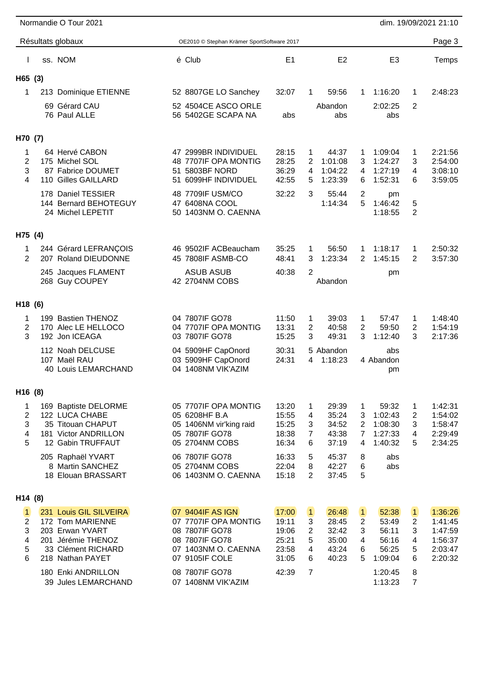|                                    | Normandie O Tour 2021                                                                                                                             |                                                                                                                                          |                                                             |                                                                                                       |                                                                                                                 |                                                 | dim. 19/09/2021 21:10                                          |
|------------------------------------|---------------------------------------------------------------------------------------------------------------------------------------------------|------------------------------------------------------------------------------------------------------------------------------------------|-------------------------------------------------------------|-------------------------------------------------------------------------------------------------------|-----------------------------------------------------------------------------------------------------------------|-------------------------------------------------|----------------------------------------------------------------|
|                                    | Résultats globaux                                                                                                                                 | OE2010 © Stephan Krämer SportSoftware 2017                                                                                               |                                                             |                                                                                                       |                                                                                                                 |                                                 | Page 3                                                         |
|                                    | ss. NOM                                                                                                                                           | é Club                                                                                                                                   | E <sub>1</sub>                                              | E <sub>2</sub>                                                                                        | E <sub>3</sub>                                                                                                  |                                                 | Temps                                                          |
| H65 (3)                            |                                                                                                                                                   |                                                                                                                                          |                                                             |                                                                                                       |                                                                                                                 |                                                 |                                                                |
| 1                                  | 213 Dominique ETIENNE                                                                                                                             | 52 8807GE LO Sanchey                                                                                                                     | 32:07                                                       | 59:56<br>1                                                                                            | 1:16:20<br>1                                                                                                    | 1                                               | 2:48:23                                                        |
|                                    | 69 Gérard CAU<br>76 Paul ALLE                                                                                                                     | 52 4504CE ASCO ORLE<br>56 5402GE SCAPA NA                                                                                                | abs                                                         | Abandon<br>abs                                                                                        | 2:02:25<br>abs                                                                                                  | 2                                               |                                                                |
| H70 (7)                            |                                                                                                                                                   |                                                                                                                                          |                                                             |                                                                                                       |                                                                                                                 |                                                 |                                                                |
| 1<br>$\overline{2}$<br>3<br>4      | 64 Hervé CABON<br>175 Michel SOL<br>87 Fabrice DOUMET<br>110 Gilles GAILLARD                                                                      | 47 2999BR INDIVIDUEL<br>48 7707IF OPA MONTIG<br>51 5803BF NORD<br>51 6099HF INDIVIDUEL                                                   | 28:15<br>28:25<br>36:29<br>42:55                            | 44:37<br>1<br>1:01:08<br>2<br>1:04:22<br>4<br>1:23:39<br>5                                            | 1:09:04<br>1<br>3<br>1:24:27<br>1:27:19<br>4<br>1:52:31<br>6                                                    | 1<br>3<br>4<br>6                                | 2:21:56<br>2:54:00<br>3:08:10<br>3:59:05                       |
|                                    | 178 Daniel TESSIER<br>144 Bernard BEHOTEGUY<br>24 Michel LEPETIT                                                                                  | 48 7709IF USM/CO<br>47 6408NA COOL<br>50 1403NM O. CAENNA                                                                                | 32:22                                                       | 3<br>55:44<br>1:14:34                                                                                 | $\overline{2}$<br>pm<br>5<br>1:46:42<br>1:18:55                                                                 | 5<br>2                                          |                                                                |
| H75 (4)                            |                                                                                                                                                   |                                                                                                                                          |                                                             |                                                                                                       |                                                                                                                 |                                                 |                                                                |
| 1<br>2                             | 244 Gérard LEFRANÇOIS<br>207 Roland DIEUDONNE                                                                                                     | 46 9502IF ACBeaucham<br>45 7808IF ASMB-CO                                                                                                | 35:25<br>48:41                                              | 56:50<br>1<br>3<br>1:23:34                                                                            | 1:18:17<br>1<br>$\overline{2}$<br>1:45:15                                                                       | 1<br>$\overline{2}$                             | 2:50:32<br>3:57:30                                             |
|                                    | 245 Jacques FLAMENT<br>268 Guy COUPEY                                                                                                             | <b>ASUB ASUB</b><br>42 2704NM COBS                                                                                                       | 40:38                                                       | 2<br>Abandon                                                                                          | pm                                                                                                              |                                                 |                                                                |
| H18 (6)                            |                                                                                                                                                   |                                                                                                                                          |                                                             |                                                                                                       |                                                                                                                 |                                                 |                                                                |
| 1<br>$\overline{c}$<br>3           | 199 Bastien THENOZ<br>170 Alec LE HELLOCO<br>192 Jon ICEAGA                                                                                       | 04 7807IF GO78<br>04 7707IF OPA MONTIG<br>03 7807IF GO78                                                                                 | 11:50<br>13:31<br>15:25                                     | 39:03<br>1<br>40:58<br>2<br>3<br>49:31                                                                | 57:47<br>1<br>$\overline{2}$<br>59:50<br>3<br>1:12:40                                                           | 1<br>2<br>3                                     | 1:48:40<br>1:54:19<br>2:17:36                                  |
|                                    | 112 Noah DELCUSE<br>107 Maël RAU<br>40 Louis LEMARCHAND                                                                                           | 04 5909HF CapOnord<br>03 5909HF CapOnord<br>04 1408NM VIK'AZIM                                                                           | 30:31<br>24:31                                              | 5 Abandon<br>1:18:23<br>4                                                                             | abs<br>4 Abandon<br>pm                                                                                          |                                                 |                                                                |
| H16 (8)                            |                                                                                                                                                   |                                                                                                                                          |                                                             |                                                                                                       |                                                                                                                 |                                                 |                                                                |
| 1<br>2<br>3<br>4<br>5              | 169 Baptiste DELORME<br>122 LUCA CHABE<br>35 Titouan CHAPUT<br>181 Victor ANDRILLON<br>12 Gabin TRUFFAUT<br>205 Raphaël YVART<br>8 Martin SANCHEZ | 05 7707IF OPA MONTIG<br>05 6208HF B.A<br>05 1406NM vir'king raid<br>05 7807IF GO78<br>05 2704NM COBS<br>06 7807IF GO78<br>05 2704NM COBS | 13:20<br>15:55<br>15:25<br>18:38<br>16:34<br>16:33<br>22:04 | 29:39<br>1<br>35:24<br>4<br>34:52<br>3<br>7<br>43:38<br>37:19<br>6<br>45:37<br>5<br>8<br>42:27        | 59:32<br>1<br>3<br>1:02:43<br>1:08:30<br>2<br>$\overline{7}$<br>1:27:33<br>1:40:32<br>4<br>8<br>abs<br>abs<br>6 | 1<br>2<br>3<br>4<br>5                           | 1:42:31<br>1:54:02<br>1:58:47<br>2:29:49<br>2:34:25            |
|                                    | 18 Elouan BRASSART                                                                                                                                | 06 1403NM O. CAENNA                                                                                                                      | 15:18                                                       | 2<br>37:45                                                                                            | 5                                                                                                               |                                                 |                                                                |
| H14 (8)                            |                                                                                                                                                   |                                                                                                                                          |                                                             |                                                                                                       |                                                                                                                 |                                                 |                                                                |
| $\vert$ 1<br>2<br>3<br>4<br>5<br>6 | 231 Louis GIL SILVEIRA<br>172 Tom MARIENNE<br>203 Erwan YVART<br>201 Jérémie THENOZ<br>33 Clément RICHARD<br>218 Nathan PAYET                     | 07 9404IF AS IGN<br>07 7707IF OPA MONTIG<br>08 7807IF GO78<br>08 7807IF GO78<br>07 1403NM O. CAENNA<br>07 9105IF COLE                    | 17:00<br>19:11<br>19:06<br>25:21<br>23:58<br>31:05          | $\vert$ 1<br>26:48<br>28:45<br>3<br>$\overline{2}$<br>32:42<br>5<br>35:00<br>43:24<br>4<br>40:23<br>6 | 52:38<br>$\vert$ 1<br>$\overline{2}$<br>53:49<br>3<br>56:11<br>4<br>56:16<br>56:25<br>6<br>5<br>1:09:04         | $\vert$ 1<br>$\overline{2}$<br>3<br>4<br>5<br>6 | 1:36:26<br>1:41:45<br>1:47:59<br>1:56:37<br>2:03:47<br>2:20:32 |
|                                    | 180 Enki ANDRILLON<br>39 Jules LEMARCHAND                                                                                                         | 08 7807IF GO78<br>07 1408NM VIK'AZIM                                                                                                     | 42:39                                                       | 7                                                                                                     | 1:20:45<br>1:13:23                                                                                              | 8<br>$\overline{7}$                             |                                                                |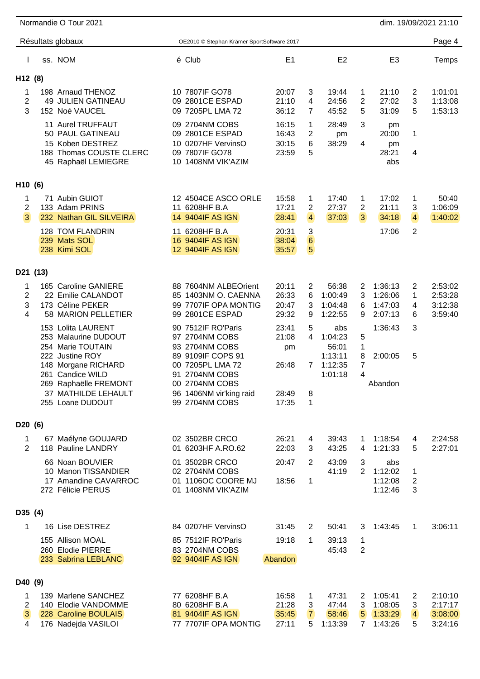|                                            |     | Résultats globaux                                                                                       | OE2010 © Stephan Krämer SportSoftware 2017                                                      |                                  |                                      |                                        |                                       |                                          |                               | Page 4                                   |
|--------------------------------------------|-----|---------------------------------------------------------------------------------------------------------|-------------------------------------------------------------------------------------------------|----------------------------------|--------------------------------------|----------------------------------------|---------------------------------------|------------------------------------------|-------------------------------|------------------------------------------|
|                                            |     | ss. NOM                                                                                                 | é Club                                                                                          | E <sub>1</sub>                   |                                      | E <sub>2</sub>                         |                                       | E <sub>3</sub>                           |                               | Temps                                    |
| H12 (8)                                    |     |                                                                                                         |                                                                                                 |                                  |                                      |                                        |                                       |                                          |                               |                                          |
| 1<br>$\overline{2}$<br>3                   |     | 198 Arnaud THENOZ<br>49 JULIEN GATINEAU<br>152 Noé VAUCEL                                               | 10 7807IF GO78<br>09 2801CE ESPAD<br>09 7205PL LMA 72                                           | 20:07<br>21:10<br>36:12          | 3<br>4<br>$\overline{7}$             | 19:44<br>24:56<br>45:52                | 1<br>2<br>5                           | 21:10<br>27:02<br>31:09                  | 2<br>3<br>5                   | 1:01:01<br>1:13:08<br>1:53:13            |
|                                            | 188 | 11 Aurel TRUFFAUT<br>50 PAUL GATINEAU<br>15 Koben DESTREZ<br>Thomas COUSTE CLERC<br>45 Raphaël LEMIEGRE | 09 2704NM COBS<br>09 2801CE ESPAD<br>10 0207HF VervinsO<br>09 7807IF GO78<br>10 1408NM VIK'AZIM | 16:15<br>16:43<br>30:15<br>23:59 | 1<br>2<br>6<br>5                     | 28:49<br>pm<br>38:29                   | 3<br>4                                | pm<br>20:00<br>pm<br>28:21<br>abs        | 1<br>4                        |                                          |
| H10 (6)                                    |     |                                                                                                         |                                                                                                 |                                  |                                      |                                        |                                       |                                          |                               |                                          |
| 1<br>$\overline{2}$<br>$\mathbf{3}$        |     | 71 Aubin GUIOT<br>133 Adam PRINS<br>232 Nathan GIL SILVEIRA                                             | 12 4504CE ASCO ORLE<br>11 6208HF B.A<br>14 9404IF AS IGN                                        | 15:58<br>17:21<br>28:41          | 1<br>2<br>$\overline{4}$             | 17:40<br>27:37<br>37:03                | 1<br>$\overline{2}$<br>3 <sup>1</sup> | 17:02<br>21:11<br>34:18                  | 1<br>3<br>$\overline{4}$      | 50:40<br>1:06:09<br>1:40:02              |
|                                            |     | 128 TOM FLANDRIN<br>239 Mats SOL<br>238 Kimi SOL                                                        | 11 6208HF B.A<br>16 9404IF AS IGN<br>12 9404IF AS IGN                                           | 20:31<br>38:04<br>35:57          | 3<br>$6\phantom{.}6$<br>5            |                                        |                                       | 17:06                                    | 2                             |                                          |
| D21 (13)                                   |     |                                                                                                         |                                                                                                 |                                  |                                      |                                        |                                       |                                          |                               |                                          |
| 1<br>$\overline{2}$<br>3<br>$\overline{4}$ |     | 165 Caroline GANIERE<br>22 Emilie CALANDOT<br>173 Céline PEKER<br>58 MARION PELLETIER                   | 88 7604NM ALBEOrient<br>85 1403NM O. CAENNA<br>99 7707IF OPA MONTIG<br>99 2801CE ESPAD          | 20:11<br>26:33<br>20:47<br>29:32 | 2<br>6<br>3<br>9                     | 56:38<br>1:00:49<br>1:04:48<br>1:22:55 | 2<br>3<br>6<br>9                      | 1:36:13<br>1:26:06<br>1:47:03<br>2:07:13 | 2<br>1<br>4<br>6              | 2:53:02<br>2:53:28<br>3:12:38<br>3:59:40 |
|                                            |     | 153 Lolita LAURENT<br>253 Malaurine DUDOUT<br>254 Marie TOUTAIN<br>222 Justine ROY                      | 90 7512IF RO'Paris<br>97 2704NM COBS<br>93 2704NM COBS<br>89 9109IF COPS 91                     | 23:41<br>21:08<br>pm             | 5<br>4                               | abs<br>1:04:23<br>56:01<br>1:13:11     | 5<br>1                                | 1:36:43<br>2:00:05                       | 3                             |                                          |
|                                            | 261 | 148 Morgane RICHARD<br>Candice WILD<br>269 Raphaëlle FREMONT                                            | 00 7205PL LMA 72<br>2704NM COBS<br>91<br>00 2704NM COBS                                         | 26:48                            | 7                                    | 1:12:35<br>1:01:18                     | 8<br>7<br>4                           | Abandon                                  | 5                             |                                          |
|                                            |     | 37 MATHILDE LEHAULT<br>255 Loane DUDOUT                                                                 | 96 1406NM vir'king raid<br>99 2704NM COBS                                                       | 28:49<br>17:35                   | 8<br>1                               |                                        |                                       |                                          |                               |                                          |
| D20 (6)                                    |     |                                                                                                         |                                                                                                 |                                  |                                      |                                        |                                       |                                          |                               |                                          |
| 1<br>$\overline{2}$                        |     | 67 Maélyne GOUJARD<br>118 Pauline LANDRY                                                                | 02 3502BR CRCO<br>01 6203HF A.RO.62                                                             | 26:21<br>22:03                   | 4<br>3                               | 39:43<br>43:25                         | 1.<br>4                               | 1:18:54<br>1:21:33                       | 4<br>5                        | 2:24:58<br>2:27:01                       |
|                                            |     | 66 Noan BOUVIER<br>10 Manon TISSANDIER                                                                  | 01 3502BR CRCO<br>02 2704NM COBS                                                                | 20:47                            | 2                                    | 43:09<br>41:19                         | 3<br>2                                | abs<br>1:12:02                           | 1                             |                                          |
|                                            |     | 17 Amandine CAVARROC<br>272 Félicie PERUS                                                               | 01 1106OC COORE MJ<br>01 1408NM VIK'AZIM                                                        | 18:56                            | 1                                    |                                        |                                       | 1:12:08<br>1:12:46                       | $\overline{2}$<br>3           |                                          |
| D35 (4)                                    |     |                                                                                                         |                                                                                                 |                                  |                                      |                                        |                                       |                                          |                               |                                          |
| 1                                          |     | 16 Lise DESTREZ                                                                                         | 84 0207HF VervinsO                                                                              | 31:45                            | 2                                    | 50:41                                  | 3                                     | 1:43:45                                  | 1                             | 3:06:11                                  |
|                                            |     | 155 Allison MOAL<br>260 Elodie PIERRE<br>233 Sabrina LEBLANC                                            | 85 7512IF RO'Paris<br>83 2704NM COBS<br>92 9404IF AS IGN                                        | 19:18<br>Abandon                 | 1                                    | 39:13<br>45:43                         | 1<br>2                                |                                          |                               |                                          |
| D40 (9)                                    |     |                                                                                                         |                                                                                                 |                                  |                                      |                                        |                                       |                                          |                               |                                          |
| 1<br>$\overline{2}$<br>3 <sup>1</sup><br>4 |     | 139 Marlene SANCHEZ<br>140 Elodie VANDOMME<br>228 Caroline BOULAIS<br>176 Nadejda VASILOI               | 77 6208HF B.A<br>80 6208HF B.A<br>81 9404IF AS IGN<br>77 7707IF OPA MONTIG                      | 16:58<br>21:28<br>35:45<br>27:11 | 1<br><u>3</u><br>$\overline{7}$<br>5 | 47:31<br>47:44<br>58:46<br>1:13:39     | 2<br>3<br>$\sqrt{5}$<br>7             | 1:05:41<br>1:08:05<br>1:33:29<br>1:43:26 | 2<br>3<br>$\overline{4}$<br>5 | 2:10:10<br>2:17:17<br>3:08:00<br>3:24:16 |

Normandie O Tour 2021 21:10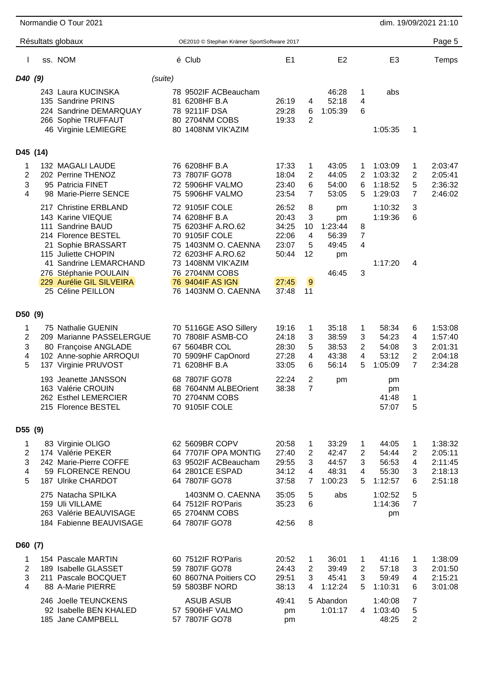|                                    |          | Normandie O Tour 2021                                                                                                                                                                                          |         |                                                                                                                                                                                     |                                                             |                                           |                                                 |                                    |                                                     |                          | dim. 19/09/2021 21:10                               |
|------------------------------------|----------|----------------------------------------------------------------------------------------------------------------------------------------------------------------------------------------------------------------|---------|-------------------------------------------------------------------------------------------------------------------------------------------------------------------------------------|-------------------------------------------------------------|-------------------------------------------|-------------------------------------------------|------------------------------------|-----------------------------------------------------|--------------------------|-----------------------------------------------------|
|                                    |          | Résultats globaux                                                                                                                                                                                              |         | OE2010 © Stephan Krämer SportSoftware 2017                                                                                                                                          |                                                             |                                           |                                                 |                                    |                                                     |                          | Page 5                                              |
|                                    |          | ss. NOM                                                                                                                                                                                                        |         | é Club                                                                                                                                                                              | E <sub>1</sub>                                              |                                           | E <sub>2</sub>                                  |                                    | E <sub>3</sub>                                      |                          | Temps                                               |
| D40 (9)                            |          |                                                                                                                                                                                                                | (suite) |                                                                                                                                                                                     |                                                             |                                           |                                                 |                                    |                                                     |                          |                                                     |
|                                    |          | 243 Laura KUCINSKA<br>135 Sandrine PRINS<br>224 Sandrine DEMARQUAY<br>266 Sophie TRUFFAUT<br>46 Virginie LEMIEGRE                                                                                              |         | 78 9502IF ACBeaucham<br>81 6208HF B.A<br>78 9211IF DSA<br>80 2704NM COBS<br>80 1408NM VIK'AZIM                                                                                      | 26:19<br>29:28<br>19:33                                     | 4<br>6<br>2                               | 46:28<br>52:18<br>1:05:39                       | 1<br>4<br>6                        | abs<br>1:05:35                                      | 1                        |                                                     |
|                                    | D45 (14) |                                                                                                                                                                                                                |         |                                                                                                                                                                                     |                                                             |                                           |                                                 |                                    |                                                     |                          |                                                     |
| 1<br>2<br>3<br>4                   |          | 132 MAGALI LAUDE<br>202 Perrine THENOZ<br>95 Patricia FINET<br>98 Marie-Pierre SENCE<br>217 Christine ERBLAND                                                                                                  |         | 76 6208HF B.A<br>73 7807IF GO78<br>72 5906HF VALMO<br>75 5906HF VALMO<br>72 9105IF COLE                                                                                             | 17:33<br>18:04<br>23:40<br>23:54<br>26:52                   | 1<br>2<br>6<br>7<br>8                     | 43:05<br>44:05<br>54:00<br>53:05<br>pm          | 1<br>2<br>6<br>5                   | 1:03:09<br>1:03:32<br>1:18:52<br>1:29:03<br>1:10:32 | 1<br>2<br>5<br>7<br>3    | 2:03:47<br>2:05:41<br>2:36:32<br>2:46:02            |
|                                    |          | 143 Karine VIEQUE<br>111 Sandrine BAUD<br>214 Florence BESTEL<br>21 Sophie BRASSART<br>115 Juliette CHOPIN<br>41 Sandrine LEMARCHAND<br>276 Stéphanie POULAIN<br>229 Aurélie GIL SILVEIRA<br>25 Céline PEILLON |         | 74 6208HF B.A<br>75 6203HF A.RO.62<br>70 9105IF COLE<br>75 1403NM O. CAENNA<br>72 6203HF A.RO.62<br>73 1408NM VIK'AZIM<br>76 2704NM COBS<br>76 9404IF AS IGN<br>76 1403NM O. CAENNA | 20:43<br>34:25<br>22:06<br>23:07<br>50:44<br>27:45<br>37:48 | 3<br>10<br>4<br>5<br>12<br>9<br>11        | pm<br>1:23:44<br>56:39<br>49:45<br>pm<br>46:45  | 8<br>7<br>4<br>3                   | 1:19:36<br>1:17:20                                  | 6<br>4                   |                                                     |
|                                    |          |                                                                                                                                                                                                                |         |                                                                                                                                                                                     |                                                             |                                           |                                                 |                                    |                                                     |                          |                                                     |
| D50 (9)<br>1<br>2<br>3<br>4<br>5   |          | 75 Nathalie GUENIN<br>209 Marianne PASSELERGUE<br>80 Françoise ANGLADE<br>102 Anne-sophie ARROQUI<br>137 Virginie PRUVOST<br>193 Jeanette JANSSON                                                              |         | 70 5116GE ASO Sillery<br>70 7808IF ASMB-CO<br>67 5604BR COL<br>70 5909HF CapOnord<br>71 6208HF B.A<br>68 7807IF GO78                                                                | 19:16<br>24:18<br>28:30<br>27:28<br>33:05<br>22:24          | 1<br>3<br>5<br>4<br>6<br>$\boldsymbol{2}$ | 35:18<br>38:59<br>38:53<br>43:38<br>56:14<br>pm | 1<br>3<br>$\overline{2}$<br>4<br>5 | 58:34<br>54:23<br>54:08<br>53:12<br>1:05:09<br>pm   | 6<br>4<br>3<br>2<br>7    | 1:53:08<br>1:57:40<br>2:01:31<br>2:04:18<br>2:34:28 |
|                                    |          | 163 Valérie CROUIN<br>262 Esthel LEMERCIER<br>215 Florence BESTEL                                                                                                                                              |         | 68 7604NM ALBEOrient<br>70 2704NM COBS<br>70 9105IF COLE                                                                                                                            | 38:38                                                       | 7                                         |                                                 |                                    | pm<br>41:48<br>57:07                                | 1<br>5                   |                                                     |
| D55 (9)                            |          |                                                                                                                                                                                                                |         |                                                                                                                                                                                     |                                                             |                                           |                                                 |                                    |                                                     |                          |                                                     |
| 1<br>$\overline{2}$<br>3<br>4<br>5 |          | 83 Virginie OLIGO<br>174 Valérie PEKER<br>242 Marie-Pierre COFFE<br>59 FLORENCE RENOU<br>187 Ulrike CHARDOT                                                                                                    |         | 62 5609BR COPV<br>64 7707IF OPA MONTIG<br>63 9502IF ACBeaucham<br>64 2801CE ESPAD<br>64 7807IF GO78                                                                                 | 20:58<br>27:40<br>29:55<br>34:12<br>37:58                   | 1<br>2<br>3<br>4<br>7                     | 33:29<br>42:47<br>44:57<br>48:31<br>1:00:23     | 1<br>$\overline{2}$<br>3<br>4<br>5 | 44:05<br>54:44<br>56:53<br>55:30<br>1:12:57         | 1<br>2<br>4<br>3<br>6    | 1:38:32<br>2:05:11<br>2:11:45<br>2:18:13<br>2:51:18 |
|                                    |          | 275 Natacha SPILKA<br>159 Uli VILLAME<br>263 Valérie BEAUVISAGE<br>184 Fabienne BEAUVISAGE                                                                                                                     |         | 1403NM O. CAENNA<br>64 7512IF RO'Paris<br>65 2704NM COBS<br>64 7807IF GO78                                                                                                          | 35:05<br>35:23<br>42:56                                     | 5<br>6<br>8                               | abs                                             |                                    | 1:02:52<br>1:14:36<br>pm                            | 5<br>$\overline{7}$      |                                                     |
| D60 (7)                            |          |                                                                                                                                                                                                                |         |                                                                                                                                                                                     |                                                             |                                           |                                                 |                                    |                                                     |                          |                                                     |
| 1<br>$\overline{2}$<br>3<br>4      |          | 154 Pascale MARTIN<br>189 Isabelle GLASSET<br>211 Pascale BOCQUET<br>88 A-Marie PIERRE                                                                                                                         |         | 60 7512IF RO'Paris<br>59 7807IF GO78<br>60 8607NA Poitiers CO<br>59 5803BF NORD                                                                                                     | 20:52<br>24:43<br>29:51<br>38:13                            | $\mathbf{1}$<br>$\mathbf{2}$<br>3<br>4    | 36:01<br>39:49<br>45:41<br>1:12:24              | 1<br>$\overline{2}$<br>3<br>5.     | 41:16<br>57:18<br>59:49<br>1:10:31                  | 1<br>3<br>4<br>6         | 1:38:09<br>2:01:50<br>2:15:21<br>3:01:08            |
|                                    |          | 246 Joelle TEUNCKENS<br>92 Isabelle BEN KHALED<br>185 Jane CAMPBELL                                                                                                                                            |         | <b>ASUB ASUB</b><br>57 5906HF VALMO<br>57 7807IF GO78                                                                                                                               | 49:41<br>pm<br>pm                                           |                                           | 5 Abandon<br>1:01:17                            | 4                                  | 1:40:08<br>1:03:40<br>48:25                         | 7<br>5<br>$\overline{2}$ |                                                     |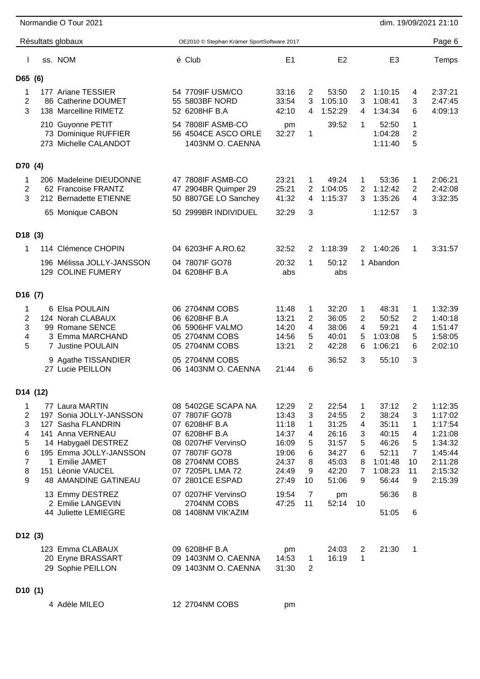|                     |                      | Normandie O Tour 2021                                                                   |                                                                          |                               |                     |                                      |                          |                                        |                     | dim. 19/09/2021 21:10         |
|---------------------|----------------------|-----------------------------------------------------------------------------------------|--------------------------------------------------------------------------|-------------------------------|---------------------|--------------------------------------|--------------------------|----------------------------------------|---------------------|-------------------------------|
|                     |                      | Résultats globaux                                                                       | OE2010 © Stephan Krämer SportSoftware 2017                               |                               |                     |                                      |                          |                                        |                     | Page 6                        |
|                     |                      | ss. NOM                                                                                 | é Club                                                                   | E1                            |                     | E <sub>2</sub>                       |                          | E <sub>3</sub>                         |                     | Temps                         |
| D65 (6)             |                      |                                                                                         |                                                                          |                               |                     |                                      |                          |                                        |                     |                               |
| 1<br>2<br>3         |                      | 177 Ariane TESSIER<br>86 Catherine DOUMET<br>138 Marcelline RIMETZ<br>210 Guyonne PETIT | 54 7709IF USM/CO<br>55 5803BF NORD<br>52 6208HF B.A<br>54 7808IF ASMB-CO | 33:16<br>33:54<br>42:10<br>pm | 2<br>3<br>4         | 53:50<br>1:05:10<br>1:52:29<br>39:52 | 2<br>3<br>4<br>1         | 1:10:15<br>1:08:41<br>1:34:34<br>52:50 | 4<br>3<br>6<br>1    | 2:37:21<br>2:47:45<br>4:09:13 |
|                     |                      | 73 Dominique RUFFIER<br>273 Michelle CALANDOT                                           | 56 4504CE ASCO ORLE<br>1403NM O. CAENNA                                  | 32:27                         | 1                   |                                      |                          | 1:04:28<br>1:11:40                     | 2<br>5              |                               |
| D70 (4)             |                      |                                                                                         |                                                                          |                               |                     |                                      |                          |                                        |                     |                               |
| 1<br>2<br>3         |                      | 206 Madeleine DIEUDONNE<br>62 Francoise FRANTZ<br>212 Bernadette ETIENNE                | 47 7808IF ASMB-CO<br>47 2904BR Quimper 29<br>50 8807GE LO Sanchey        | 23:21<br>25:21<br>41:32       | 1<br>2<br>4         | 49:24<br>1:04:05<br>1:15:37          | 1<br>$\overline{2}$<br>3 | 53:36<br>1:12:42<br>1:35:26            | 1<br>2<br>4         | 2:06:21<br>2:42:08<br>3:32:35 |
|                     |                      | 65 Monique CABON                                                                        | 50 2999BR INDIVIDUEL                                                     | 32:29                         | 3                   |                                      |                          | 1:12:57                                | 3                   |                               |
| D <sub>18</sub> (3) |                      |                                                                                         |                                                                          |                               |                     |                                      |                          |                                        |                     |                               |
| 1                   |                      | 114 Clémence CHOPIN                                                                     | 04 6203HF A.RO.62                                                        | 32:52                         | 2                   | 1:18:39                              | 2                        | 1:40:26                                | 1                   | 3:31:57                       |
|                     |                      | 196 Mélissa JOLLY-JANSSON<br>129 COLINE FUMERY                                          | 04 7807IF GO78<br>04 6208HF B.A                                          | 20:32<br>abs                  | 1                   | 50:12<br>abs                         |                          | 1 Abandon                              |                     |                               |
| D <sub>16</sub> (7) |                      |                                                                                         |                                                                          |                               |                     |                                      |                          |                                        |                     |                               |
| 1<br>2              |                      | 6 Elsa POULAIN<br>124 Norah CLABAUX                                                     | 06 2704NM COBS<br>06 6208HF B.A                                          | 11:48<br>13:21                | 1<br>$\overline{2}$ | 32:20<br>36:05                       | 1<br>$\overline{2}$      | 48:31<br>50:52                         | 1<br>2              | 1:32:39<br>1:40:18            |
| 3<br>4<br>5         |                      | 99 Romane SENCE<br>3 Emma MARCHAND<br>7 Justine POULAIN                                 | 06 5906HF VALMO<br>05 2704NM COBS<br>05 2704NM COBS                      | 14:20<br>14:56<br>13:21       | 4<br>5<br>2         | 38:06<br>40:01<br>42:28              | 4<br>5<br>6              | 59:21<br>1:03:08<br>1:06:21            | 4<br>5<br>6         | 1:51:47<br>1:58:05<br>2:02:10 |
|                     |                      | 9 Agathe TISSANDIER<br>27 Lucie PEILLON                                                 | 05 2704NM COBS<br>06 1403NM O. CAENNA                                    | 21:44                         | 6                   | 36:52                                | 3                        | 55:10                                  | 3                   |                               |
|                     | D <sub>14</sub> (12) |                                                                                         |                                                                          |                               |                     |                                      |                          |                                        |                     |                               |
| 1                   |                      | 77 Laura MARTIN                                                                         | 08 5402GE SCAPA NA                                                       | 12:29                         | 2                   | 22:54                                | 1                        | 37:12                                  | 2                   | 1:12:35                       |
| 2<br>3              |                      | 197 Sonia JOLLY-JANSSON<br>127 Sasha FLANDRIN                                           | 07 7807IF GO78<br>07 6208HF B.A                                          | 13:43<br>11:18                | 3<br>1              | 24:55<br>31:25                       | $\overline{2}$<br>4      | 38:24<br>35:11                         | 3<br>1              | 1:17:02<br>1:17:54            |
| 4                   |                      | 141 Anna VERNEAU                                                                        | 07 6208HF B.A                                                            | 14:37                         | 4                   | 26:16                                | 3                        | 40:15                                  | 4                   | 1:21:08                       |
| 5<br>6              |                      | 14 Habygaël DESTREZ<br>195 Emma JOLLY-JANSSON                                           | 08 0207HF VervinsO<br>07 7807IF GO78                                     | 16:09<br>19:06                | 5<br>6              | 31:57<br>34:27                       | 5<br>6                   | 46:26<br>52:11                         | 5<br>$\overline{7}$ | 1:34:32<br>1:45:44            |
| 7                   |                      | 1 Emilie JAMET                                                                          | 08 2704NM COBS                                                           | 24:37                         | 8                   | 45:03                                | 8                        | 1:01:48                                | 10                  | 2:11:28                       |
| 8<br>9              |                      | 151 Léonie VAUCEL<br><b>48 AMANDINE GATINEAU</b>                                        | 07 7205PL LMA 72<br>07 2801CE ESPAD                                      | 24:49<br>27:49                | 9<br>10             | 42:20<br>51:06                       | $\overline{7}$<br>9      | 1:08:23<br>56:44                       | 11<br>9             | 2:15:32<br>2:15:39            |
|                     |                      | 13 Emmy DESTREZ                                                                         | 07 0207HF VervinsO                                                       | 19:54                         | $\overline{7}$      | pm                                   |                          | 56:36                                  | 8                   |                               |
|                     |                      | 2 Emilie LANGEVIN<br>44 Juliette LEMIEGRE                                               | 2704NM COBS<br>08 1408NM VIK'AZIM                                        | 47:25                         | 11                  | 52:14                                | 10                       | 51:05                                  | 6                   |                               |
| D12(3)              |                      |                                                                                         |                                                                          |                               |                     |                                      |                          |                                        |                     |                               |
|                     |                      | 123 Emma CLABAUX<br>20 Eryne BRASSART<br>29 Sophie PEILLON                              | 09 6208HF B.A<br>09 1403NM O. CAENNA<br>09 1403NM O. CAENNA              | pm<br>14:53<br>31:30          | 1<br>$\overline{2}$ | 24:03<br>16:19                       | 2<br>1                   | 21:30                                  | 1                   |                               |
| D10(1)              |                      |                                                                                         |                                                                          |                               |                     |                                      |                          |                                        |                     |                               |

4 Adèle MILEO 12 2704NM COBS pm